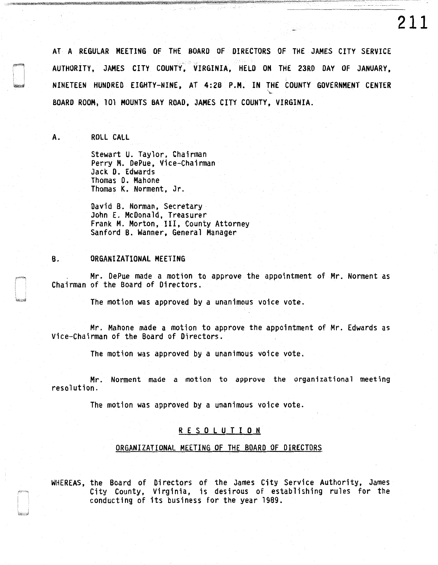AT A REGULAR MEETING OF THE BOARD OF DIRECTORS OF THE JAMES CITY SERVICE AUTHORITY, JAMES CITY COUNTY, VIRGINIA, HELD ON THE 23RD DAY OF JANUARY, NINETEEN HUNDRED EIGHTY-NINE, AT 4:28 P.M. IN THE COUNTY GOVERNMENT CENTER  $\mathcal{F}$ BOARD ROOM, 101 MOUNTS BAY ROAD, JAMES CITY COUNTY, VIRGINIA.

**211** 

A. ROLL CALL

Stewart U. Taylor, Chairman Perry M. DePue, Vice-Chairman Jack D. Edwards Thomas D. Mahone Thomas K. Norment, Jr.

David B. Norman, Secretary John E. McDonald, Treasurer Frank M. Morton, III, County Attorney Sanford B. Wanner, General Manager

## B. ORGANIZATIONAL MEETING

Mr. DePue made a motion to approve the appointment of Mr. Norment as Chairman of the Board of Directors.

The motion was approved by a unanimous voice vote.

Mr. Mahone made a motion to approve the appointment of Mr. Edwards as Vice-Chairman of the Board of Directors.

The motion was approved by a unanimous voice vote.

Mr. Norment made a motion to approve the organizational meeting resolution.

The motion was approved by a unanimous voice vote.

## R E S 0 L U T I 0 N

## ORGANIZATIONAL MEETING OF THE BOARD OF DIRECTORS

WHEREAS, the Board of Directors of the James City Service Authority, James City County, Virginia, is desirous of establishing rules for the conducting of its business for the year 1989.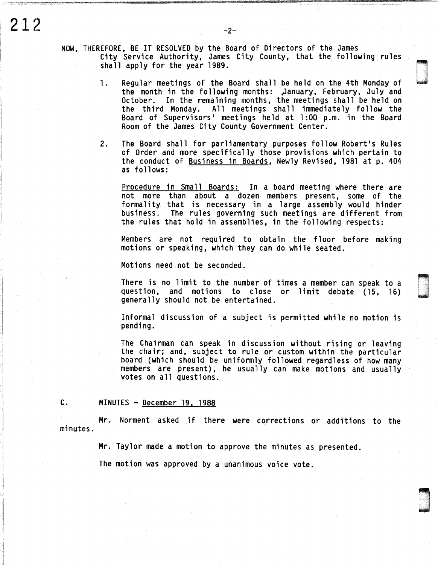NOW, THEREFORE, BE IT RESOLVED by the Board of Directors of the James City Service Authority, James City County, that the following rules shall apply for the year 1989.

- 1. Regular meetings of the Board shall be held on the 4th Monday of the month in the following months: \_,January, February, July and October. In the remaining months, the meetings shall be held on the third Monday. All meetings shall immediately follow the Board of Supervisors• meetings held at 1:00 p.m. in the Board Room of the James City County Government Center.
- 2. The Board shall for parliamentary purposes follow Robert's Rules of Order and more specifically those provisions which pertain to the conduct of Business in Boards, Newly Revised, 1981 at p. 404 as follows:

Procedure in Small Boards: In a board meeting where there are not more than about a dozen members present, some of the formality that is necessary in a large assembly would hinder business. The rules governing such meetings are different from the rules that hold in assemblies, in the following respects:

Members are not required to obtain the floor before making motions or speaking, which they can do while seated.

Motions need not be seconded.

There is no limit to the number of times a member can speak to a question, and motions to close or limit debate (15, 16) generally should not be entertained.

Informal discussion of a subject is permitted while no motion is pending.

The Chairman can speak in discussion without rising or leaving<br>the chair; and, subject to rule or custom within the particular<br>board (which should be uniformly followed regardless of how many<br>members are present), he usual votes on all questions.

### C. MINUTES - December 19, 1988

Mr. Norment asked if there were corrections or additions to the minutes.

Mr. Taylor made a motion to approve the minutes as presented.

The motion was approved by a unanimous voice vote.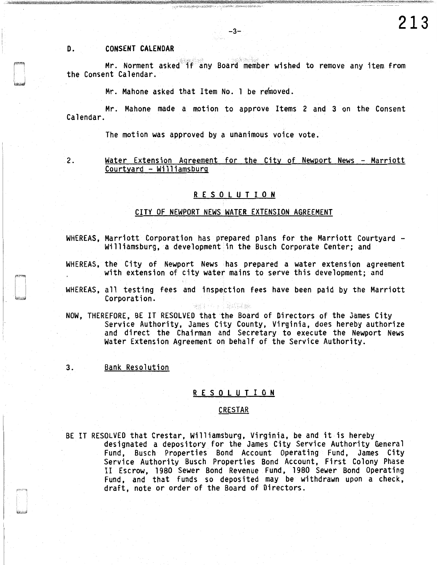# D. CONSENT CALENDAR

Mr. Norment asked ff any Board member wished to remove any item from the Consent Calendar.

Mr. Mahone asked that Item No. 1 be removed.

Mr. Mahone made a motion to approve Items 2 and 3 on the Consent Calendar.

The motion was approved by a unanimous voice vote.

2. Water Extension Agreement for the City of Newport News - Marriott Courtyard - Williamsburg

## R E S 0 L U T I 0 N

## CITY OF NEWPORT NEWS WATER EXTENSION AGREEMENT

- WHEREAS, Marriott Corporation has prepared plans for the Marriott Courtyard -<br>Williamsburg, a development in the Busch Corporate Center; and
- WHEREAS, the City of Newport News has prepared a water extension agreement with extension of city water mains to serve this development; and
- WHEREAS, all testing fees and inspection fees have been paid by the Marriott Corporation.

**金字 キューテー ( 本来) 28番組** 

- NOW, THEREFORE, BE IT RESOLVED that the Board of Directors of the James City Service Authority, James City County, Virginia, does hereby authorize and direct the Chairman and Secretary to execute the Newport News Water Extension Agreement on behalf of the Service Authority.
- 3. Bank Resolution

#### R E S 0 L U T I 0 N

# CRESTAR

BE IT RESOLVED that Crestar, Williamsburg, Virginia, be and it is hereby designated a depository for the James City Service Authority General Fund, Busch Properties Bond Account Operating Fund, James City Service Authority Busch Properties Bond Account, First Colony Phase II Escrow, 1980 Sewer Bond Revenue Fund, 1980 Sewer Bond Operating Fund, and that funds so deposited may be withdrawn upon a check, draft, note or order of the Board of Directors.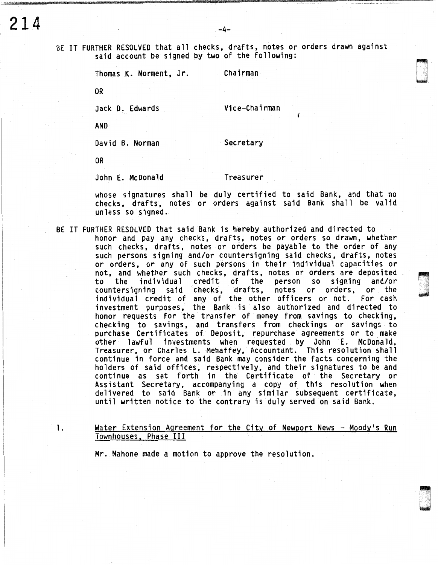BE IT FURTHER RESOLVED that all checks, drafts, notes or orders drawn against said account be signed by two of the following:

Thomas K. Norment, Jr. Chairman

OR

Jack D. Edwards Vice-Chairman

AND

David B. Norman Secretary

OR

John E. McDonald Treasurer

whose signatures shall be duly certified to said Bank, and that no checks, drafts, notes or orders against said Bank shall be valid unless so signed.

- BE IT FURTHER RESOLVED that said Bank is hereby authorized and directed to
	- honor and pay any checks. drafts, notes or orders so drawn, whether such checks, drafts, notes or orders be payable to the order of any such persons signing and/or countersigning said checks, drafts, notes or orders, or any of such persons in their individual capacities or not, and whether such checks, drafts, notes or orders are deposited<br>to the individual credit of the person so signing and/or to the individual credit of the person so signing and/or drafts, notes or orders, or the individual credit of any of the other officers or not. For cash investment purposes, the Bank is also authorized and directed to honor requests for the transfer of money from savings to checking, checking to savings, and transfers from checkings or savings to purchase Certificates of Deposit, repurchase agreements or to make other lawful investments when requested by John E. McDonald, Treasurer, or Charles L. Mehaffey, Accountant. This resolution shall continue in force and said Bank may consider the facts concerning the holders of said offices, respectively, and their signatures to be and continue as set forth in the Certificate of the Secretary or Assistant Secretary, accompanying a copy of this resolution when delivered to said Bank or in any similar subsequent certificate, until written notice to the contrary is duly served on said Bank.

82.000<br>|-<br>| 1960 |-. .

~~ wang ka

1. Water Extension Agreement for the City of Newport News - Moody's Run Townhouses, Phase III

Mr. Mahone made a motion to approve the resolution.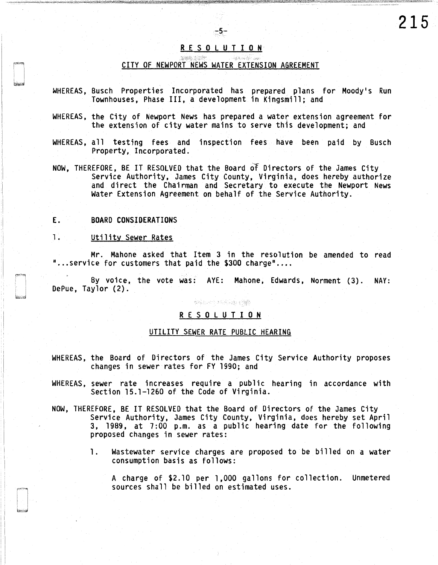# R E S 0 L U T I 0 N

-5-

### CITY OF NEWPORT NEWS WATER EXTENSION AGREEMENT

\::: ··,\ ~:· \_· -

- WHEREAS, Busch Properties Incorporated has prepared plans for Moody's Run Townhouses, Phase III, a development in Kingsmill; and
- WHEREAS, the City of Newport News has prepared a water extension agreement for the extension of city water mains to serve this development; and
- WHEREAS, all testing fees and inspection fees have been paid by Busch Property, Incorporated.
- NOW, THEREFORE, BE IT RESOLVED that the Board of Directors of the James City Service Authority, James City County, Virginia, does hereby authorize and direct the Chairman and Secretary to execute the Newport News Water Extension Agreement on behalf of the Service Authority.

## E. BOARD CONSIDERATIONS

#### 1. Utility Sewer Rates

I l ï  $\prod_{i=1}^{n}$ . i

Mr. Mahone asked that Item 3 in the resolution be amended to read  $"$ ... service for customers that paid the \$300 charge $"$ ....

By voice, the vote was: AYE: Mahone, Edwards, Norment (3). NAY: DePue, Taylor (2).

# **24.000 1000 0000**

## R E S 0 L U T I 0 N

### UTILITY SEWER RATE PUBLIC HEARING

- WHEREAS, the Board of Directors of the James City Service Authority proposes changes in sewer rates for FY 1990; and
- WHEREAS, sewer rate increases require a public hearing in accordance with Section 15.1-1260 of the Code of Virginia.
- NOW, THEREFORE, BE IT RESOLVED that the Board of Directors of the James City Service Authority, James City County, Virginia, does hereby set April 3, 1989, at 7:00 p.m. as a public hearing date for the following proposed changes in sewer rates:
	- 1. Wastewater service charges are proposed to be billed on a water consumption basis as follows:

A charge of \$2.10 per 1,000 gallons for collection. Unmetered sources shall be billed on estimated uses.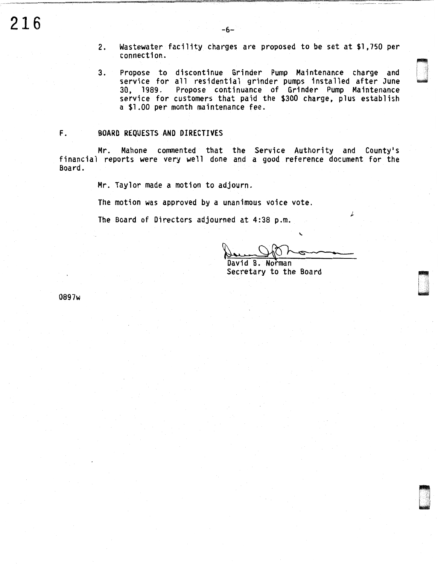- 2. Wastewater facility charges are proposed to be set at \$1 ,750 per  $\blacksquare$ connection.  $\blacksquare$
- 3. Propose to discontinue Grinder Pump Maintenance charge and service for all residential grinder pumps installed after June 30, 1989. Propose continuance of Grinder Pump Maintenance service for customers that paid the \$300 charge, plus establish a \$1.00 per month maintenance fee.

## F. BOARD REQUESTS AND DIRECTIVES

Mr. Mahone commented that the Service Authority and County's financial reports were very well done and a good reference document for the Board.

Mr. Taylor made a motion to adjourn.

The motion was approved by a unanimous voice vote.

The Board of Directors adjourned at 4:38 p.m.

 $\gamma$  $\overline{\phantom{a}}$ s voice vote.<br>
:38 p.m.

 $\blacksquare$ 

**Longon** 

David B. Secretary to the Board

0897w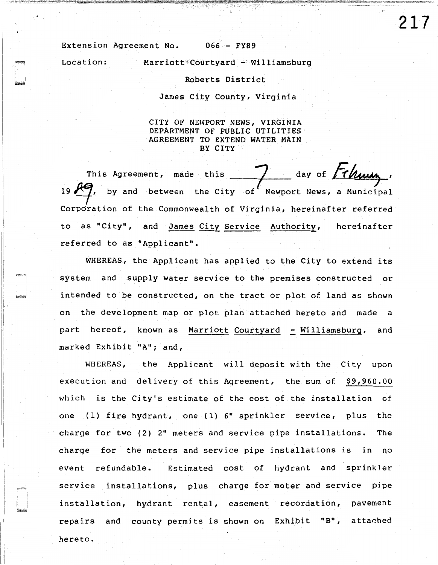Extension Agreement No. 066 - FY89

Location: Marriott Courtyard - Williamsburg

Roberts District

James City County, Virginia

CITY OF NEWPORT NEWS, VIRGINIA DEPARTMENT OF PUBLIC UTILITIES AGREEMENT TO EXTEND WATER MAIN BY CITY

This Agreement, made this 7 day of *Thisus*.<br>19 *R*9, by and between the City of Newport News, a Municipal Corporation of the Commonwealth of Virginia, hereinafter referred to as "City", and James City Service Authority, hereinafter referred to as "Applicant".

WHEREAS, the Applicant has applied to the City to extend its system and supply water service to the premises constructed or intended to be constructed, on the tract or plot of land as shown on the development map or plot plan attached hereto and made a part hereof, known as Marriott Courtyard - Williamsburg, and marked Exhibit "A"; and,

WHEREAS, the Applicant will deposit with the City upon execution and delivery of this Agreement, the sum of \$9,960.00 which is the City's estimate of the cost of the installation of one (1) fire hydrant, one (1) 6" sprinkler service, plus the charge for two (2) 2" meters and service pipe installations. The charge for the meters and service pipe installations is in *no*  event refundable. Estimated cost of hydrant and sprinkler service installations, plus charge for meter and service pipe installation, hydrant rental, easement recordation, pavement repairs and county permits is shown on Exhibit "B", attached hereto.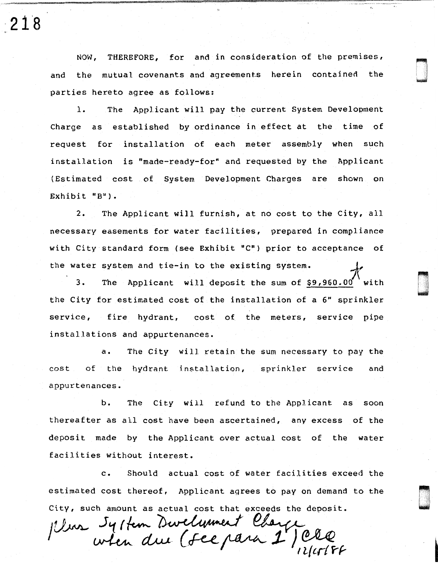NOW, THEREFORE, for and in consideration of the premises, and the mutual covenants and agreements herein contained the parties hereto agree as follows:

!o ... .. · ... ·:

D .

n u

1. The AppJ.icant will pay the current System Development Charge as established by ordinance in effect at the time of request for installation of each meter assembly when such installation is "made-ready-for" and requested by the Applicant (Estimated cost of System Development Charges are shown on Exhibit "B").

2. The Applicant will furnish, at no cost to the City, all necessary easements for water facilities, prepared in compliance with City standard form (see Exhibit "C") prior to acceptance of the water system and tie-in to the existing system.

3. The Applicant will deposit the sum of \$9,960.00 with the City for estimated cost of the installation of a 6" sprinkler service, fire hydrant, cost of the meters, service pipe installations and appurtenances.

a. The City will retain the sum necessary to pay the cost of the hydrant installation, sprinkler service and appurtenances.

b. The City will refund to the Applicant as soon thereafter as all cost have been ascertained, any excess of the deposit made by the Applicant over actual cost of the water facilities without interest.

c. Should actual cost of water facilities exceed the estimated cost thereof, Applicant agrees to pay on demand to the City, such amount as actual cost that exceeds the deposit.

*JU... System Dwelwment Cb*<br>when due (Fee para reor, Applicant agrees to pay on demand t<br>as actual cost that exceeds the deposit.<br>m Bwelument Charge

218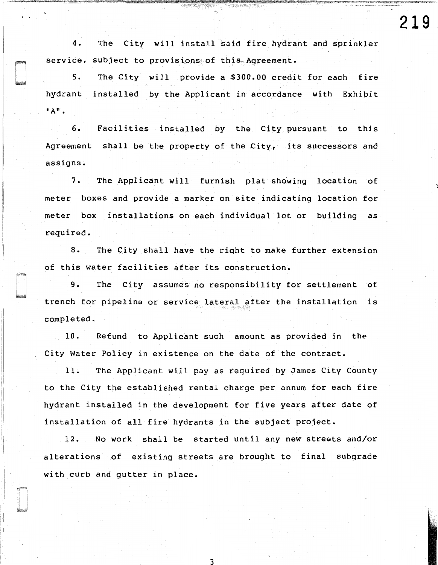**219** 

4. The City will install said fire hydrant and sprinkler service, subject to provisions of this Agreement.

5. The City will provide a \$300.00 credit for each fire hydrant installed by the Applicant in accordance with Exhibit "A"•

6. Facilities installed by the City bursuant to this Agreement shall be the property of the City, its successors and assigns.

7. The Applicant will furnish plat showing location of meter boxes and provide a marker on site indicating location for meter box installations on each individual lot or building as required.

8. The City shall have the right to make further extension of this water facilities after its construction.

9. The City assumes no responsibility for settlement of trench for pipeline or service lateral after the installation is completed.

10. Refund to Applicant such amount as provided in the City Water Policy in existence on the date of the contract.

11. The Applicant will pay as required by James City County to the City the established rental charge per annum for each fire hydrant installed in the development for five years after date of installation of all fire hydrants in the subject project.

12. No work shall be started until any new streets and/or alterations of existing streets are brought to final subgrade with curb and gutter in place.

I

3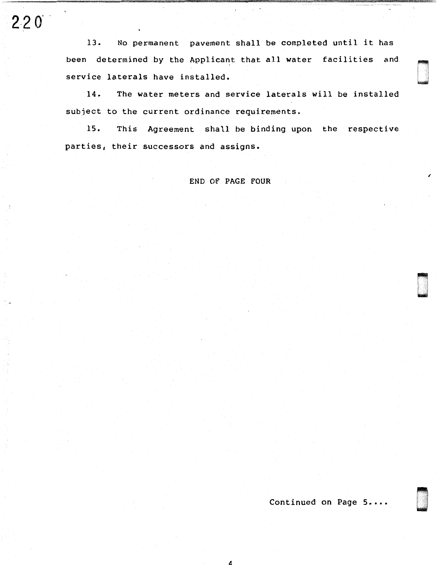13. No permanent pavement shall be completed until it has been determined by the Applicant that all water facilities and service laterals have installed.<br>14. The water meters and so

2-2 o·

The water meters and service laterals will be installed subject to the current ordinance requirements.

15. This Agreement shall be binding upon the respective parties, their successors and assigns.

END OF PAGE FOUR

Continued on Page 5....

dia<br>Dia 42 Metatra.<br>Dia 42 Metatra.

1 -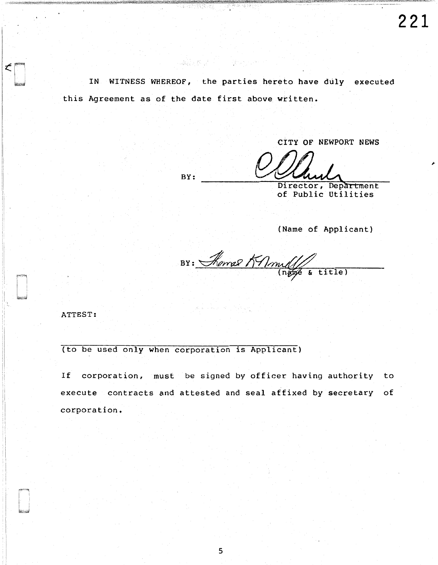IN WITNESS WHEREOF, the parties hereto have duly executed this Agreement as of the date first above written.

**「親友を見て」と、彼らしいわけ** 

CITY OF NEWPORT NEWS

Director, Department of Public Utilities

(Name of Applicant)

 $BS:$  Remal KAmulle & title)

ATTEST:

i I (to be used only when corporation is Applicant)

BY:

If corporation, must be signed by officer having authority to execute contracts and attested and seal affixed by secretary of corporation.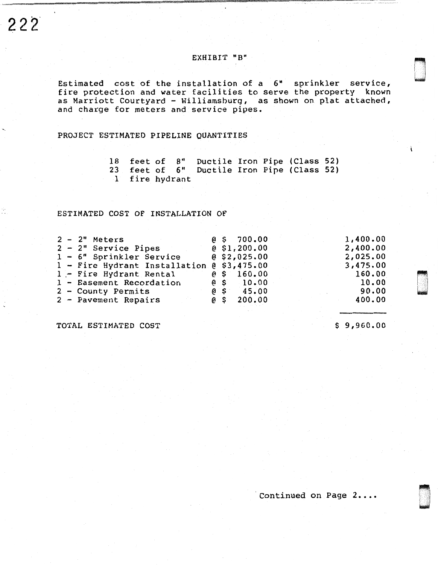$\ddot{\cdot}$ 

# EXHIBIT "B"

Estimated cost of the installation of a 6" sprinkler service, fire protection and water facilities to serve the property known as Marriott Courtyard - Williamsburg, as shown on plat attached, and charge for meters and service pipes.

PROJECT ESTIMATED PIPELINE QUANTITIES

|                |  | 18 feet of 8" Ductile Iron Pipe (Class 52) |  |  |
|----------------|--|--------------------------------------------|--|--|
|                |  | 23 feet of 6" Ductile Iron Pipe (Class 52) |  |  |
| 1 fire hydrant |  |                                            |  |  |

# ESTIMATED COST OF INSTALLATION OF

|  | $2 - 2"$ Meters                            |  | $6\,$ \$ 700.00     | 1,400.00 |
|--|--------------------------------------------|--|---------------------|----------|
|  | $2 - 2"$ Service Pipes                     |  | <b>@ \$1,200.00</b> | 2,400.00 |
|  | 1 - 6" Sprinkler Service                   |  | 6, 52, 025.00       | 2,025.00 |
|  | 1 - Fire Hydrant Installation @ \$3,475.00 |  |                     | 3,475.00 |
|  | 1 - Fire Hydrant Rental                    |  | $@$$ 160.00         | 160.00   |
|  | 1 - Easement Recordation                   |  | $6\,$ \$ 10.00      | 10.00    |
|  | 2 - County Permits                         |  | $6 \times 45.00$    | 90.00    |
|  | 2 - Pavement Repairs                       |  | $6 \,$ \$ 200.00    | 400.00   |

TOTAL ESTIMATED COST \$

9,960.00

n<br>N<br>n a was a strong of the control of the control of the control of the control of the control of the control of the control of the control of the control of the control of the control of the control of the control of the control

D

Continued on Page 2....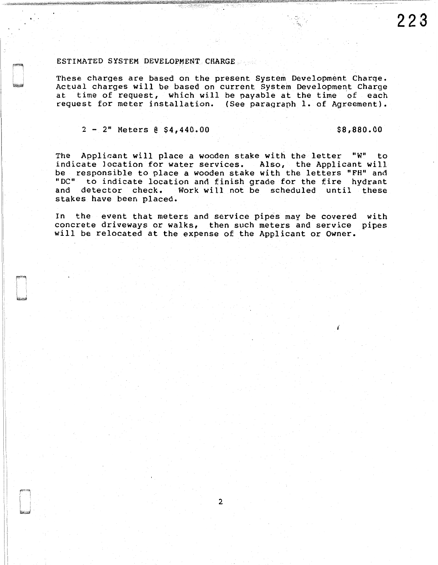#### ESTIMATED SYSTEM DEVELOPMENT CHARGE

These charges are based on the present System Development Charqe. Actual charges will be based on current System Development Charge at time of request, which will be payable at the time of each request for meter installation. (See paragraph 1. of Agreement).

 $2 - 2$ " Meters  $8\,$  \$4,440.00

The Applicant will place a wooden stake with the letter "W" to indicate location for water services. Also, the Applicant will be responsible to place a wooden stake with the letters "FH" and "DC" to indicate location and finish grade for the fire hydrant and detector check. Work will not be scheduled until these stakes have been placed.

In the event that meters and service pipes may be covered with concrete driveways or walks, then such meters and service pipes will be relocated at the expense of the Applicant or Owner.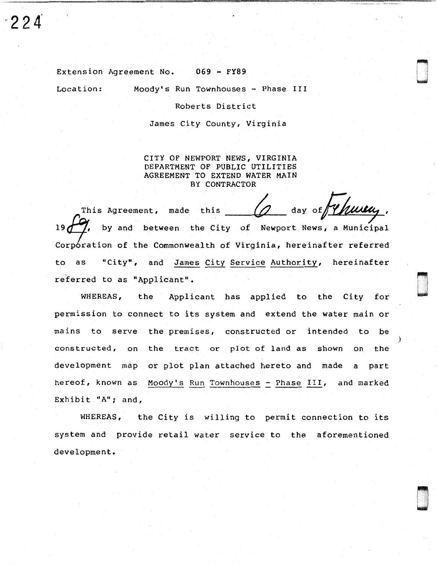Extension Agreement No. 069 - FY89

Location: Moody's Run Townhouses - Phase III

Roberts District

James City County, Virginia

CITY OF NEWPORT NEWS, VIRGINIA DEPARTMENT OF PUBLIC UTILITIES AGREEMENT TO EXTEND WATER MAIN BY CONTRACTOR

day of Wherear, This Agreement, made this 19 $\frac{1}{2}$ , by and between the City of Newport News, a Municipal  $\mathop{\mathsf{Corp}}\nolimits$  cation of the Commonwealth of Virginia, hereinafter referred to as "City", and James City Service Authority, hereinafter referred to as "Applicant".

Brasil<br>Norska

}

WHEREAS, the Applicant has applied to the City for permission to connect to its system and extend the water main or mains to serve the premises, constructed or intended to be constructed, on the tract or plot of land as shown on the development map or plot plan attached hereto and made a part hereof, known as Moody's Run Townhouses - Phase III, and marked Exhibit "A"; and,

WHEREAS, the City is willing to permit connection to its system and provide retail water service to the aforementioned development.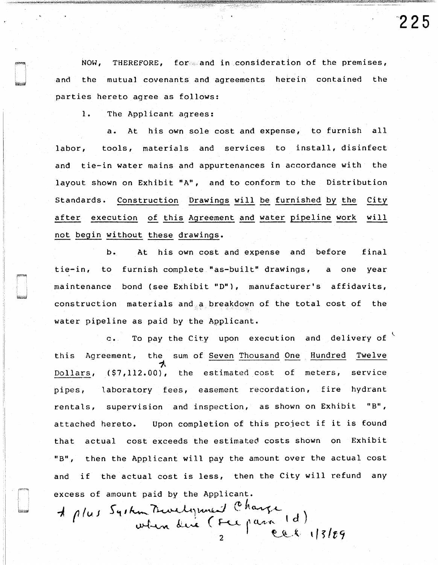NOW, THEREFORE, for and in consideration of the premises, and the mutual covenants and agreements herein contained the parties hereto agree as follows:

1. The Applicant agrees:

a. At his own sole cost and expense, to furnish all labor, tools, materials and services to install, disinfect and tie-in water mains and appurtenances in accordance with the layout shown on Exhibit "A", and to conform to the Distribution Standards. Construction Drawings will be furnished by the City after execution of this Agreement and water pipeline work will not begin without these drawings.

b. At his own cost and expense and before final tie-in, to furnish complete "as-built" drawings, a one year maintenance bond (see Exhibit "D"), manufacturer's affidavits, construction materials and a breakdown of the total cost of the water pipeline as paid by the Applicant.

c. To pay the City upon execution and delivery of this Agreement, the sum of Seven Thousand One Hundred Twelve *"'),*  Dollars, (\$7,112.00), the estimated cost of meters, service pipes, laboratory fees, easement recordation, fire hydrant rentals, supervision and inspection, as shown on Exhibit "B", attached hereto. Upon completion of this project if it is found that actual cost exceeds the estimated costs shown on Exhibit "B", then the Applicant will pay the amount over the actual cost and if the actual cost is less, then the City will refund any excess of amount paid by the Applicant.

mount paid by the Applicant.<br>System Trurlynness (Charge m Burdynnew Charge<br>when dire (Fre para 1d)  $2~$  J eel 13/29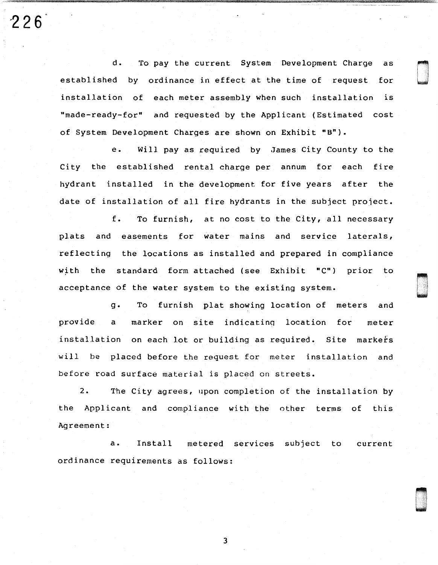d. To pay the current System Development Charge as established by ordinance in effect at the time of request for installation of each meter assembly when such installation is "made-ready-for" and requested by the Applicant (Estimated cost of System Development Charges are shown on Exhibit "B").

 $226$ 

e. Will pay as required by James City County to the City the established rental charge per annum for each fire hydrant installed in the development for five years after the date of installation of all fire hydrants in the subject project.

f. To furnish, at no cost to the City, all necessary plats and easements for water mains and service laterals, reflecting the locations as installed and prepared in compliance with the standard form attached (see Exhibit "C") prior to acceptance of the water system to the existing system.

n u

g. To furnish plat showing location of meters and provide a marker on site indicatinq location for meter installation on each lot or building as required. Site markefs will be placed before the request for meter installation and before road surface material is placed on streets.

2. The City agrees, upon completion of the installation by the Applicant and compliance with the other terms of this Agreement:

a. Install metered services subject to current ordinance requirements as follows:

3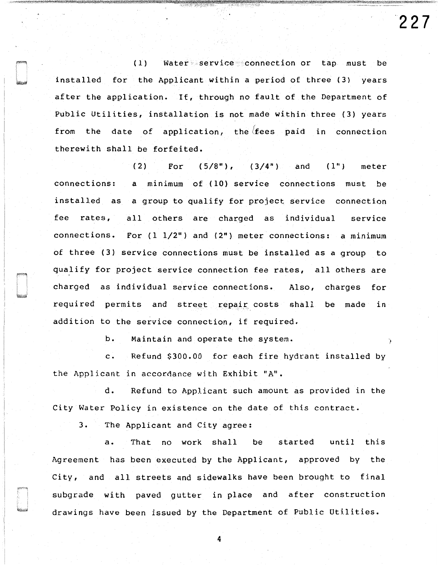(1) Water service connection or tap must be installed for the Applicant within a period of three (3) years after the application. If, through no fault of the Department of Public Utilities, installation is not made within three (3) years from the date of application, the fees paid in connection therewith shall be forfeited.

(2) For  $(5/8")$ ,  $(3/4")$  and  $(1")$  meter connections: a minimum of (10) service connections must be installed as a group to qualify for project service connection fee rates, all others are charged as individual service connections. For (1 1/2") and (2") meter connections: a minimum of three (3) service connections must be installed as a group to qualify for project service connection fee rates, all others are charged as individual service connections. Also, charges for required permits and street repair costs shall be made in addition to the service connection, if required.

b. Maintain and operate the system.

c. Refund \$300.00 for each fire hydrant installed by the Applicant in accordance with Exhibit "A".

d. Refund to Applicant such amount as provided in the City Water Policy in existence on the date of this contract.

3. The Applicant and City agree:

a. That no work shall be started until this Agreement has been executed by the Applicant, approved by the City, and all streets and sidewalks have been brought to final subgrade with paved gutter in place and after construction drawings have been issued by the Department of Public Utilities.

4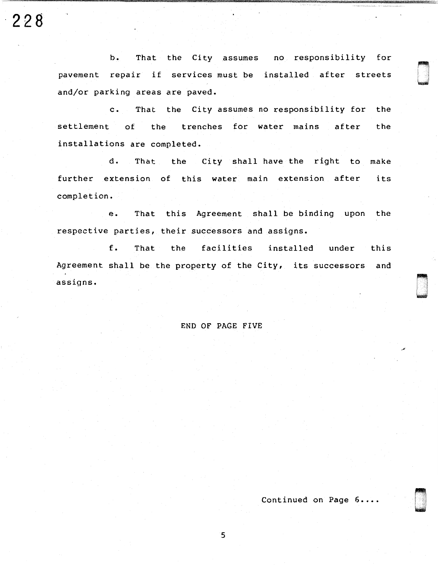**·228** 

b. That the City assumes no responsibility for pavement repair if services must be installed after streets and/or parking areas are paved.

c. That the City assumes no responsibility for the settlement of the trenches for water mains after the installations are completed.

d. That the City shall have the right to make further extension of this water main extension after its completion.

e. That this Agreement shall be binding upon the respective parties, their successors and assigns.

f. That the facilities installed under this Agreement shall be the property of the City, its successors and assigns.

## END OF PAGE FIVE

Continued on Page 6....

51'

n i Italia

**\** 

u na katika na katika na katika na katika na katika na katika na katika na katika na katika na katika na katika na katika na katika na katika na katika na katika na katika na katika na katika na katika na katika na katika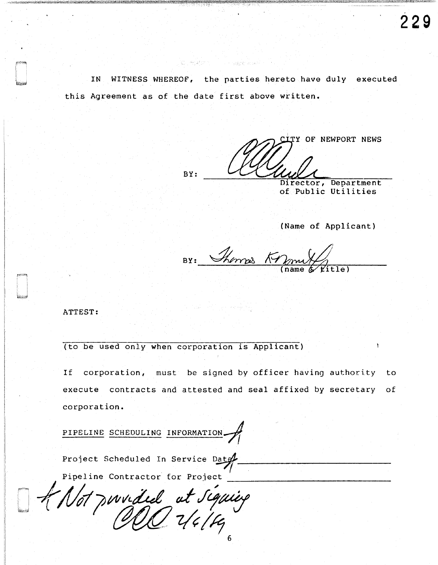IN WITNESS WHEREOF, the parties hereto have duly executed this Agreement as of the date first above written.

Wijkelaportji

BY: ITY OF NEWPORT NEWS

Director, Department of Public Utilities

(Name of Applicant)

BY: Thomas Knon

ATTEST:

(to be used only when corporation is Applicant)

If corporation, must be signed by officer having authority to execute contracts and attested and seal affixed by secretary of corporation.

PIPELINE SCHEDULING INFORMATION

Project Scheduled In Service Date  $~^{\circ}$ atgf Pipeline Contractor for Project

Hot pouvait de la figuier  $OOLV4H_6$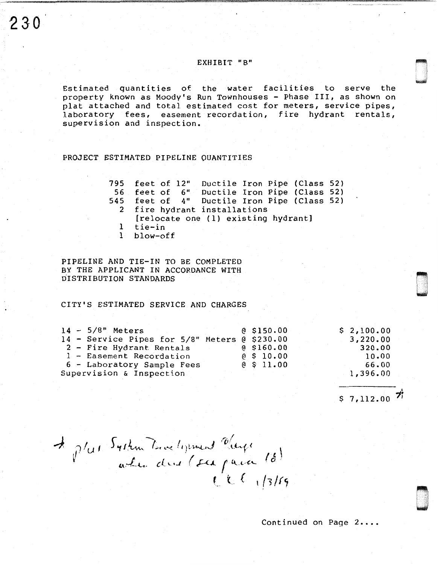# EXHIBIT "B"

Estimated quantities of the water facilities to serve the property known as Moody's Run Townhouses - Phase III, as shown on plat attached and total estimated cost for meters, service pipes, laboratory fees, easement recordation, fire hydrant rentals, supervision and inspection.

PROJECT ESTIMATED PIPELINE OUANTITIES

795 feet of 12" Ductile Iron Pipe (Class 52) 56 feet of 6" Ductile Iron Pipe (Class 52) 545 feet of 4" Ductile Iron Pipe (Class 52) 2 fire hydrant installations [relocate one (1) existing hydrant] 1 tie-in 1 blow-off

PIPELINE AND TIE-IN TO BE COMPLETED BY THE APPLICANT IN ACCORDANCE WITH DISTRIBUTION STANDARDS

CITY'S ESTIMATED SERVICE AND CHARGES

|  | $14 - 5/8"$ Meters                            | 0.5150.00    | \$2,100.00 |
|--|-----------------------------------------------|--------------|------------|
|  | 14 - Service Pipes for 5/8" Meters @ \$230.00 |              | 3,220.00   |
|  | 2 - Fire Hydrant Rentals                      | $@$ \$160.00 | 320.00     |
|  | 1 - Easement Recordation                      | $e$ \$ 10.00 | 10.00      |
|  | 6 - Laboratory Sample Fees                    | @S11.00      | 66.00      |
|  | Supervision & Inspection                      |              | 1,396.00   |

 $$7,112.00$  <sup>7</sup>i

n LI

000<br>1990<br>1990

A plus System Towelexement Charge (8)

Continued on Page 2....